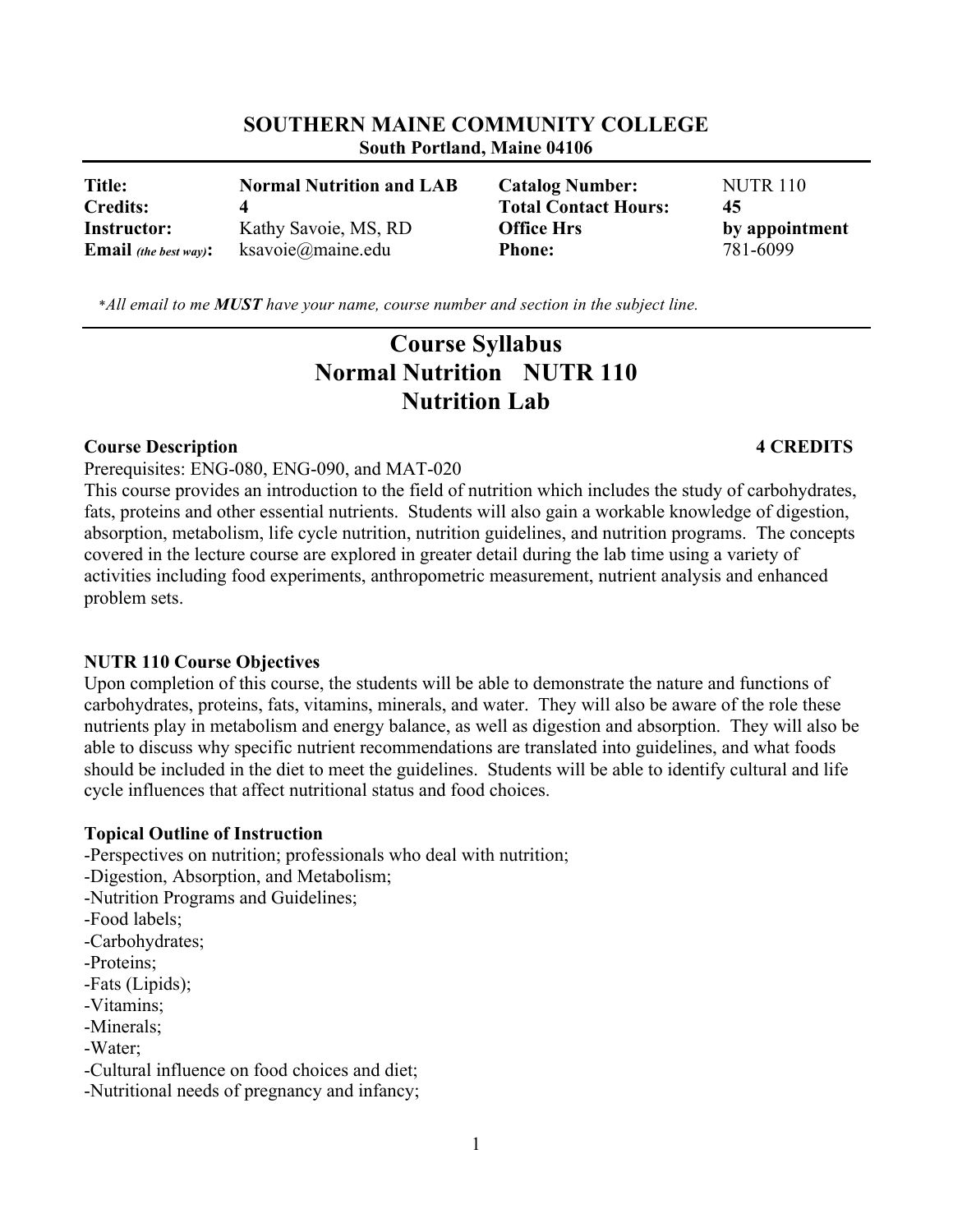| <b>Title:</b>                | <b>Normal Nutrition and LAB</b> | <b>Catalog Number:</b>      | <b>NUTR 110</b> |
|------------------------------|---------------------------------|-----------------------------|-----------------|
| <b>Credits:</b>              |                                 | <b>Total Contact Hours:</b> | 45              |
| <b>Instructor:</b>           | Kathy Savoie, MS, RD            | <b>Office Hrs</b>           | by appointment  |
| <b>Email</b> (the best way): | ksavoie@maine.edu               | <b>Phone:</b>               | 781-6099        |

**SOUTHERN MAINE COMMUNITY COLLEGE South Portland, Maine 04106**

\**All email to me MUST have your name, course number and section in the subject line.*

# **Course Syllabus Normal Nutrition NUTR 110 Nutrition Lab**

#### **Course Description 4 CREDITS**

Prerequisites: ENG-080, ENG-090, and MAT-020

This course provides an introduction to the field of nutrition which includes the study of carbohydrates, fats, proteins and other essential nutrients. Students will also gain a workable knowledge of digestion, absorption, metabolism, life cycle nutrition, nutrition guidelines, and nutrition programs. The concepts covered in the lecture course are explored in greater detail during the lab time using a variety of activities including food experiments, anthropometric measurement, nutrient analysis and enhanced problem sets.

### **NUTR 110 Course Objectives**

Upon completion of this course, the students will be able to demonstrate the nature and functions of carbohydrates, proteins, fats, vitamins, minerals, and water. They will also be aware of the role these nutrients play in metabolism and energy balance, as well as digestion and absorption. They will also be able to discuss why specific nutrient recommendations are translated into guidelines, and what foods should be included in the diet to meet the guidelines. Students will be able to identify cultural and life cycle influences that affect nutritional status and food choices.

# **Topical Outline of Instruction**

-Perspectives on nutrition; professionals who deal with nutrition;

-Digestion, Absorption, and Metabolism;

- -Nutrition Programs and Guidelines;
- -Food labels;
- -Carbohydrates;
- -Proteins;
- -Fats (Lipids);
- -Vitamins;
- -Minerals;
- -Water;

-Cultural influence on food choices and diet;

-Nutritional needs of pregnancy and infancy;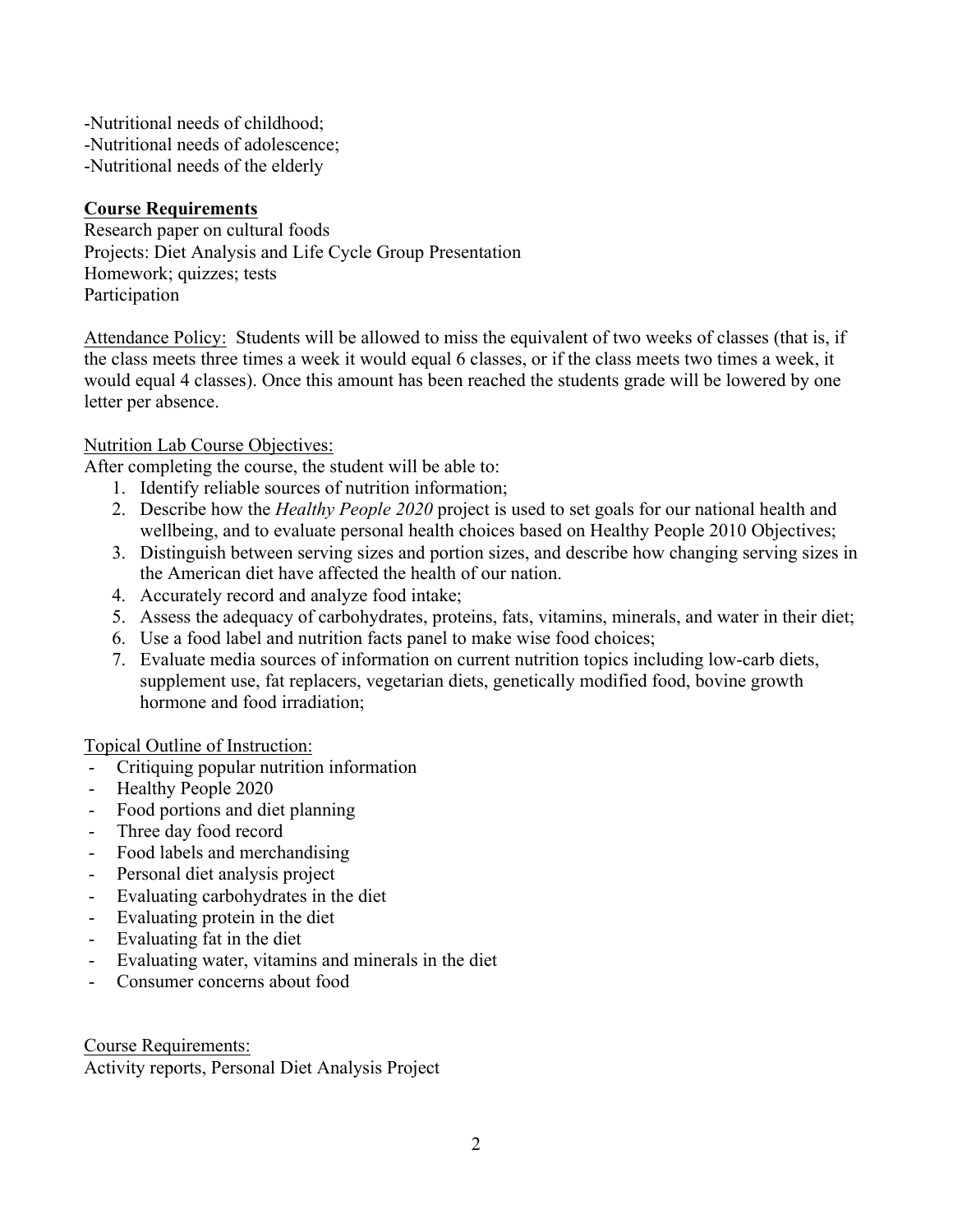-Nutritional needs of childhood; -Nutritional needs of adolescence; -Nutritional needs of the elderly

## **Course Requirements**

Research paper on cultural foods Projects: Diet Analysis and Life Cycle Group Presentation Homework; quizzes; tests Participation

Attendance Policy: Students will be allowed to miss the equivalent of two weeks of classes (that is, if the class meets three times a week it would equal 6 classes, or if the class meets two times a week, it would equal 4 classes). Once this amount has been reached the students grade will be lowered by one letter per absence.

### Nutrition Lab Course Objectives:

After completing the course, the student will be able to:

- 1. Identify reliable sources of nutrition information;
- 2. Describe how the *Healthy People 2020* project is used to set goals for our national health and wellbeing, and to evaluate personal health choices based on Healthy People 2010 Objectives;
- 3. Distinguish between serving sizes and portion sizes, and describe how changing serving sizes in the American diet have affected the health of our nation.
- 4. Accurately record and analyze food intake;
- 5. Assess the adequacy of carbohydrates, proteins, fats, vitamins, minerals, and water in their diet;
- 6. Use a food label and nutrition facts panel to make wise food choices;
- 7. Evaluate media sources of information on current nutrition topics including low-carb diets, supplement use, fat replacers, vegetarian diets, genetically modified food, bovine growth hormone and food irradiation;

### Topical Outline of Instruction:

- Critiquing popular nutrition information
- Healthy People 2020
- Food portions and diet planning
- Three day food record
- Food labels and merchandising
- Personal diet analysis project
- Evaluating carbohydrates in the diet
- Evaluating protein in the diet
- Evaluating fat in the diet
- Evaluating water, vitamins and minerals in the diet
- Consumer concerns about food

Course Requirements: Activity reports, Personal Diet Analysis Project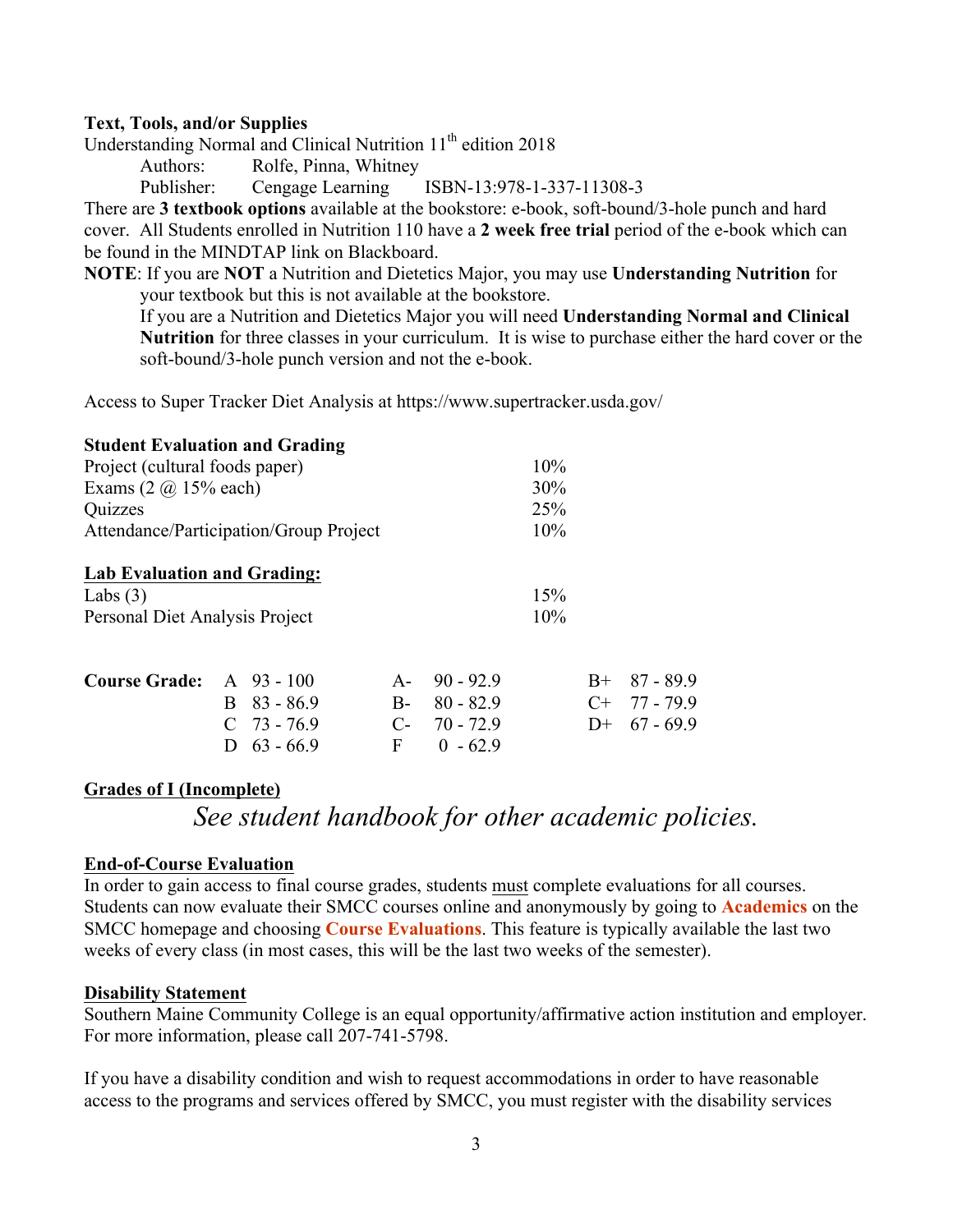### **Text, Tools, and/or Supplies**

Understanding Normal and Clinical Nutrition 11<sup>th</sup> edition 2018

Authors: Rolfe, Pinna, Whitney

Publisher: Cengage Learning ISBN-13:978-1-337-11308-3

There are **3 textbook options** available at the bookstore: e-book, soft-bound/3-hole punch and hard cover. All Students enrolled in Nutrition 110 have a **2 week free trial** period of the e-book which can be found in the MINDTAP link on Blackboard.

**NOTE**: If you are **NOT** a Nutrition and Dietetics Major, you may use **Understanding Nutrition** for your textbook but this is not available at the bookstore.

If you are a Nutrition and Dietetics Major you will need **Understanding Normal and Clinical Nutrition** for three classes in your curriculum. It is wise to purchase either the hard cover or the soft-bound/3-hole punch version and not the e-book.

Access to Super Tracker Diet Analysis at https://www.supertracker.usda.gov/

| <b>Student Evaluation and Grading</b>           |    |                    |       |             |     |      |                |
|-------------------------------------------------|----|--------------------|-------|-------------|-----|------|----------------|
| Project (cultural foods paper)                  |    |                    |       |             | 10% |      |                |
| Exams $(2 \omega 15\% \text{ each})$<br>Quizzes |    |                    |       | 30%         |     |      |                |
|                                                 |    |                    |       | 25%         |     |      |                |
| Attendance/Participation/Group Project          |    |                    |       | 10%         |     |      |                |
| <b>Lab Evaluation and Grading:</b>              |    |                    |       |             |     |      |                |
| Labs $(3)$                                      |    |                    |       |             | 15% |      |                |
| Personal Diet Analysis Project                  |    |                    |       |             | 10% |      |                |
| <b>Course Grade:</b>                            |    | $A \quad 93 - 100$ | $A -$ | $90 - 92.9$ |     | $B+$ | 87 - 89.9      |
|                                                 | B. | $83 - 86.9$        | $B-$  | $80 - 82.9$ |     |      | $C+ 77 - 79.9$ |
|                                                 |    | $C$ 73 - 76.9      |       | $C-70-72.9$ |     |      | $D+ 67 - 69.9$ |
|                                                 |    |                    |       |             |     |      |                |
|                                                 |    | $63 - 66.9$        | F     | $0 - 62.9$  |     |      |                |

# **Grades of I (Incomplete)**

# *See student handbook for other academic policies.*

### **End-of-Course Evaluation**

In order to gain access to final course grades, students must complete evaluations for all courses. Students can now evaluate their SMCC courses online and anonymously by going to **Academics** on the SMCC homepage and choosing **Course Evaluations**. This feature is typically available the last two weeks of every class (in most cases, this will be the last two weeks of the semester).

### **Disability Statement**

Southern Maine Community College is an equal opportunity/affirmative action institution and employer. For more information, please call 207-741-5798.

If you have a disability condition and wish to request accommodations in order to have reasonable access to the programs and services offered by SMCC, you must register with the disability services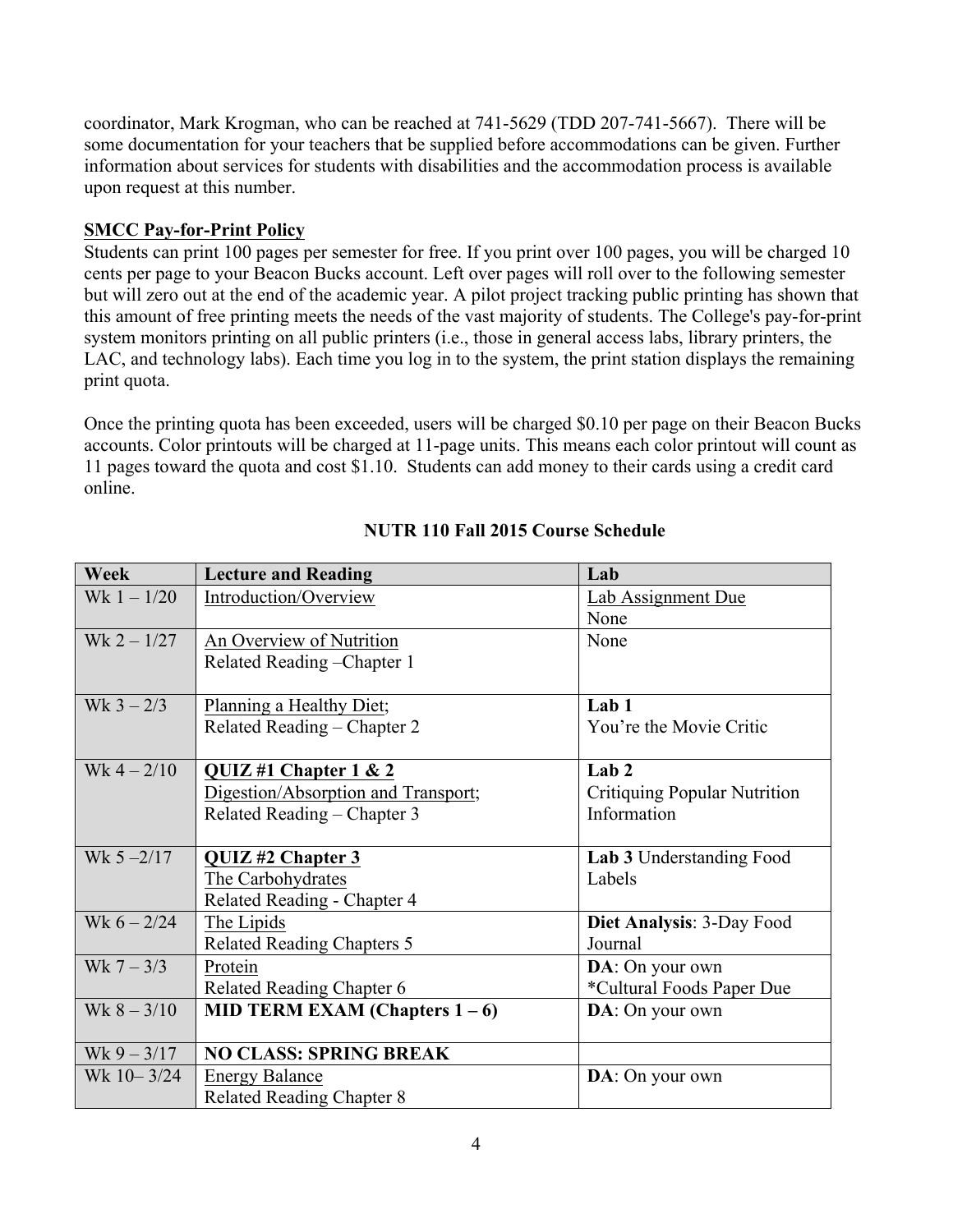coordinator, Mark Krogman, who can be reached at 741-5629 (TDD 207-741-5667). There will be some documentation for your teachers that be supplied before accommodations can be given. Further information about services for students with disabilities and the accommodation process is available upon request at this number.

# **SMCC Pay-for-Print Policy**

Students can print 100 pages per semester for free. If you print over 100 pages, you will be charged 10 cents per page to your Beacon Bucks account. Left over pages will roll over to the following semester but will zero out at the end of the academic year. A pilot project tracking public printing has shown that this amount of free printing meets the needs of the vast majority of students. The College's pay-for-print system monitors printing on all public printers (i.e., those in general access labs, library printers, the LAC, and technology labs). Each time you log in to the system, the print station displays the remaining print quota.

Once the printing quota has been exceeded, users will be charged \$0.10 per page on their Beacon Bucks accounts. Color printouts will be charged at 11-page units. This means each color printout will count as 11 pages toward the quota and cost \$1.10. Students can add money to their cards using a credit card online.

| <b>Week</b>   | <b>Lecture and Reading</b>          | Lab                                 |
|---------------|-------------------------------------|-------------------------------------|
| $Wk 1 - 1/20$ | Introduction/Overview               | Lab Assignment Due                  |
|               |                                     | None                                |
| $Wk 2 - 1/27$ | An Overview of Nutrition            | None                                |
|               | Related Reading - Chapter 1         |                                     |
|               |                                     |                                     |
| Wk $3 - 2/3$  | Planning a Healthy Diet;            | Lab <sub>1</sub>                    |
|               | Related Reading - Chapter 2         | You're the Movie Critic             |
|               |                                     |                                     |
| $Wk 4 - 2/10$ | QUIZ#1 Chapter $1 & 2$              | Lab <sub>2</sub>                    |
|               | Digestion/Absorption and Transport; | <b>Critiquing Popular Nutrition</b> |
|               | Related Reading - Chapter 3         | Information                         |
|               |                                     |                                     |
| Wk $5 - 2/17$ | QUIZ #2 Chapter 3                   | Lab 3 Understanding Food            |
|               | The Carbohydrates                   | Labels                              |
|               | Related Reading - Chapter 4         |                                     |
| Wk $6 - 2/24$ | The Lipids                          | Diet Analysis: 3-Day Food           |
|               | <b>Related Reading Chapters 5</b>   | Journal                             |
| Wk $7 - 3/3$  | Protein                             | DA: On your own                     |
|               | <b>Related Reading Chapter 6</b>    | *Cultural Foods Paper Due           |
| Wk $8 - 3/10$ | MID TERM EXAM (Chapters $1-6$ )     | DA: On your own                     |
|               |                                     |                                     |
| $Wk9 - 3/17$  | <b>NO CLASS: SPRING BREAK</b>       |                                     |
| Wk 10-3/24    | <b>Energy Balance</b>               | DA: On your own                     |
|               | <b>Related Reading Chapter 8</b>    |                                     |

# **NUTR 110 Fall 2015 Course Schedule**